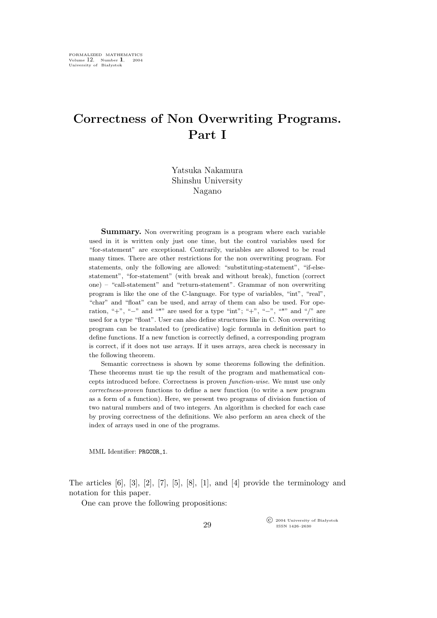## **Correctness of Non Overwriting Programs. Part I**

Yatsuka Nakamura Shinshu University Nagano

**Summary.** Non overwriting program is a program where each variable used in it is written only just one time, but the control variables used for "for-statement" are exceptional. Contrarily, variables are allowed to be read many times. There are other restrictions for the non overwriting program. For statements, only the following are allowed: "substituting-statement", "if-elsestatement", "for-statement" (with break and without break), function (correct one) – "call-statement" and "return-statement". Grammar of non overwriting program is like the one of the C-language. For type of variables, "int", "real", "char" and "float" can be used, and array of them can also be used. For operation, "+", "−" and "\*" are used for a type "int"; "+", "−", "\*" and "/" are used for a type "float". User can also define structures like in C. Non overwriting program can be translated to (predicative) logic formula in definition part to define functions. If a new function is correctly defined, a corresponding program is correct, if it does not use arrays. If it uses arrays, area check is necessary in the following theorem.

Semantic correctness is shown by some theorems following the definition. These theorems must tie up the result of the program and mathematical concepts introduced before. Correctness is proven *function-wise*. We must use only *correctness-proven* functions to define a new function (to write a new program as a form of a function). Here, we present two programs of division function of two natural numbers and of two integers. An algorithm is checked for each case by proving correctness of the definitions. We also perform an area check of the index of arrays used in one of the programs.

MML Identifier: PRGCOR 1.

The articles [6], [3], [2], [7], [5], [8], [1], and [4] provide the terminology and notation for this paper.

One can prove the following propositions:

°c 2004 University of Białystok ISSN 1426–2630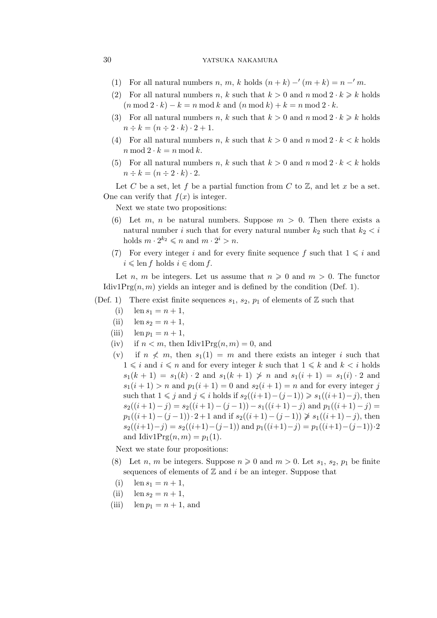## 30 yatsuka nakamura

- (1) For all natural numbers n, m, k holds  $(n + k) (m + k) = n m$ .
- (2) For all natural numbers *n*, *k* such that  $k > 0$  and *n* mod  $2 \cdot k \ge k$  holds  $(n \mod 2 \cdot k) - k = n \mod k$  and  $(n \mod k) + k = n \mod 2 \cdot k$ .
- (3) For all natural numbers n, k such that  $k > 0$  and n mod  $2 \cdot k \geq k$  holds  $n \div k = (n \div 2 \cdot k) \cdot 2 + 1.$
- (4) For all natural numbers n, k such that  $k > 0$  and n mod  $2 \cdot k < k$  holds  $n \mod 2 \cdot k = n \mod k$ .
- (5) For all natural numbers n, k such that  $k > 0$  and n mod  $2 \cdot k < k$  holds  $n \div k = (n \div 2 \cdot k) \cdot 2.$

Let C be a set, let f be a partial function from C to  $\mathbb{Z}$ , and let x be a set. One can verify that  $f(x)$  is integer.

Next we state two propositions:

- (6) Let m, n be natural numbers. Suppose  $m > 0$ . Then there exists a natural number i such that for every natural number  $k_2$  such that  $k_2 < i$ holds  $m \cdot 2^{k_2} \leqslant n$  and  $m \cdot 2^i > n$ .
- (7) For every integer i and for every finite sequence f such that  $1 \leq i$  and  $i \leqslant \text{len } f \text{ holds } i \in \text{dom } f.$

Let n, m be integers. Let us assume that  $n \geq 0$  and  $m > 0$ . The functor Idiv1Prg $(n, m)$  yields an integer and is defined by the condition (Def. 1).

- (Def. 1) There exist finite sequences  $s_1, s_2, p_1$  of elements of  $\mathbb Z$  such that
	- (i)  $\ln s_1 = n + 1$ ,
	- (ii)  $\ln s_2 = n + 1$ ,
	- (iii)  $\text{len } p_1 = n + 1,$
	- (iv) if  $n < m$ , then Idiv1Prg $(n, m) = 0$ , and
	- (v) if  $n \nless m$ , then  $s_1(1) = m$  and there exists an integer i such that  $1 \leq i$  and  $i \leq n$  and for every integer k such that  $1 \leq k$  and  $k < i$  holds  $s_1(k + 1) = s_1(k) \cdot 2$  and  $s_1(k + 1) \geq n$  and  $s_1(i + 1) = s_1(i) \cdot 2$  and  $s_1(i + 1) > n$  and  $p_1(i + 1) = 0$  and  $s_2(i + 1) = n$  and for every integer j such that  $1 \leq j$  and  $j \leq i$  holds if  $s_2((i+1)-(j-1)) \geq s_1((i+1)-j)$ , then  $s_2((i+1)-j) = s_2((i+1)-(j-1)) - s_1((i+1)-j)$  and  $p_1((i+1)-j) =$  $p_1((i+1)-(j-1)) \cdot 2+1$  and if  $s_2((i+1)-(j-1)) \ge s_1((i+1)-j)$ , then  $s_2((i+1)-j) = s_2((i+1)-(j-1))$  and  $p_1((i+1)-j) = p_1((i+1)-(j-1)) \cdot 2$ and Idiv1Prg $(n,m) = p_1(1)$ .

Next we state four propositions:

- (8) Let *n*, *m* be integers. Suppose  $n \geq 0$  and  $m > 0$ . Let  $s_1, s_2, p_1$  be finite sequences of elements of  $\mathbb Z$  and i be an integer. Suppose that
- (i)  $\ln s_1 = n + 1$ ,
- (ii)  $\ln s_2 = n + 1$ ,
- (iii) len  $p_1 = n + 1$ , and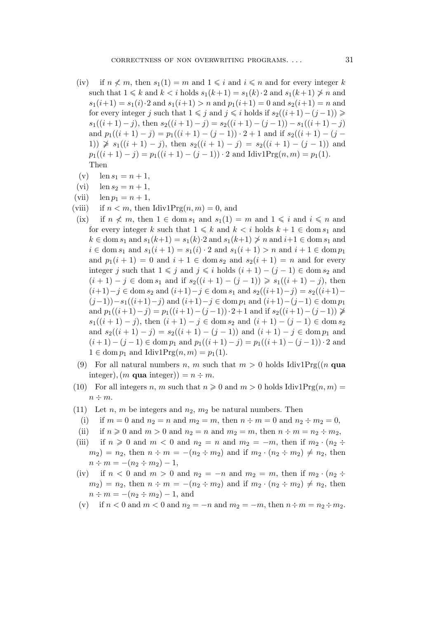- (iv) if  $n \nless m$ , then  $s_1(1) = m$  and  $1 \nless i$  and  $i \nless n$  and for every integer k such that  $1 \leq k$  and  $k < i$  holds  $s_1(k+1) = s_1(k) \cdot 2$  and  $s_1(k+1) \not\geq n$  and  $s_1(i+1) = s_1(i) \cdot 2$  and  $s_1(i+1) > n$  and  $p_1(i+1) = 0$  and  $s_2(i+1) = n$  and for every integer j such that  $1 \leq j$  and  $j \leq i$  holds if  $s_2((i+1)-(j-1)) \geq$  $s_1((i+1)-j)$ , then  $s_2((i+1)-j) = s_2((i+1)-(j-1)) - s_1((i+1)-j)$ and  $p_1((i + 1) - j) = p_1((i + 1) - (j - 1)) \cdot 2 + 1$  and if  $s_2((i + 1) - (j - 1))$ 1))  $\geqslant s_1((i + 1) - j)$ , then  $s_2((i + 1) - j) = s_2((i + 1) - (j - 1))$  and  $p_1((i+1)-j) = p_1((i+1)-(j-1)) \cdot 2$  and Idiv1Prg $(n,m) = p_1(1)$ . Then
- (v)  $\text{len } s_1 = n + 1,$
- (vi)  $\text{len } s_2 = n + 1,$
- (vii)  $\text{len } p_1 = n + 1,$
- (viii) if  $n < m$ , then Idiv1Prg $(n, m) = 0$ , and
- (ix) if  $n \nless m$ , then  $1 \in \text{dom } s_1$  and  $s_1(1) = m$  and  $1 \leq i$  and  $i \leq n$  and for every integer k such that  $1 \leq k$  and  $k < i$  holds  $k + 1 \in \text{dom } s_1$  and  $k \in \text{dom } s_1 \text{ and } s_1(k+1) = s_1(k) \cdot 2 \text{ and } s_1(k+1) \not\geq n \text{ and } i+1 \in \text{dom } s_1 \text{ and }$ *i* ∈ dom  $s_1$  and  $s_1(i + 1) = s_1(i) \cdot 2$  and  $s_1(i + 1) > n$  and  $i + 1 \in \text{dom } p_1$ and  $p_1(i + 1) = 0$  and  $i + 1 \in \text{dom } s_2$  and  $s_2(i + 1) = n$  and for every integer j such that  $1 \leq j$  and  $j \leq i$  holds  $(i + 1) - (j - 1) \in \text{dom } s_2$  and  $(i + 1) - j \in \text{dom } s_1 \text{ and if } s_2((i + 1) - (j - 1)) \geq s_1((i + 1) - j), \text{ then}$  $(i+1)-j \in \text{dom } s_2 \text{ and } (i+1)-j \in \text{dom } s_1 \text{ and } s_2((i+1)-j) = s_2((i+1)-j)$  $(j-1)$ ) − s<sub>1</sub>((i+1) − j) and (i+1) − j ∈ dom p<sub>1</sub> and (i+1) − (j − 1) ∈ dom p<sub>1</sub> and  $p_1((i+1)-j) = p_1((i+1)-(j-1)) \cdot 2+1$  and if  $s_2((i+1)-(j-1))$  ≱ s<sub>1</sub>((i + 1) − j), then  $(i + 1) - j \in \text{dom } s_2$  and  $(i + 1) - (j - 1) \in \text{dom } s_2$ and  $s_2((i + 1) - j) = s_2((i + 1) - (j - 1))$  and  $(i + 1) - j \in \text{dom } p_1$  and  $(i+1) - (j-1) \in \text{dom } p_1 \text{ and } p_1((i+1) - j) = p_1((i+1) - (j-1)) \cdot 2 \text{ and }$  $1 \in \text{dom } p_1 \text{ and } \text{Idiv1Prg}(n,m) = p_1(1).$
- (9) For all natural numbers n, m such that  $m > 0$  holds Idiv1Prg((n qua integer),  $(m \text{ qua integer}) = n \div m$ .
- (10) For all integers n, m such that  $n \geq 0$  and  $m > 0$  holds Idiv1Prg(n, m) =  $n \div m$ .
- (11) Let n, m be integers and  $n_2$ ,  $m_2$  be natural numbers. Then
- (i) if  $m = 0$  and  $n_2 = n$  and  $m_2 = m$ , then  $n \div m = 0$  and  $n_2 \div m_2 = 0$ ,
- (ii) if  $n \geq 0$  and  $m > 0$  and  $n_2 = n$  and  $m_2 = m$ , then  $n \div m = n_2 \div m_2$ ,
- (iii) if  $n \geq 0$  and  $m < 0$  and  $n_2 = n$  and  $m_2 = -m$ , then if  $m_2 \cdot (n_2 \div \mathbf{S})$  $(m_2) = n_2$ , then  $n \div m = -(n_2 \div m_2)$  and if  $m_2 \cdot (n_2 \div m_2) \neq n_2$ , then  $n \div m = -(n_2 \div m_2) - 1,$
- (iv) if  $n < 0$  and  $m > 0$  and  $n_2 = -n$  and  $m_2 = m$ , then if  $m_2 \cdot (n_2 \div n)$  $(m_2) = n_2$ , then  $n \div m = -(n_2 \div m_2)$  and if  $m_2 \cdot (n_2 \div m_2) \neq n_2$ , then  $n \div m = -(n_2 \div m_2) - 1$ , and
- (v) if  $n < 0$  and  $m < 0$  and  $n_2 = -n$  and  $m_2 = -m$ , then  $n \div m = n_2 \div m_2$ .